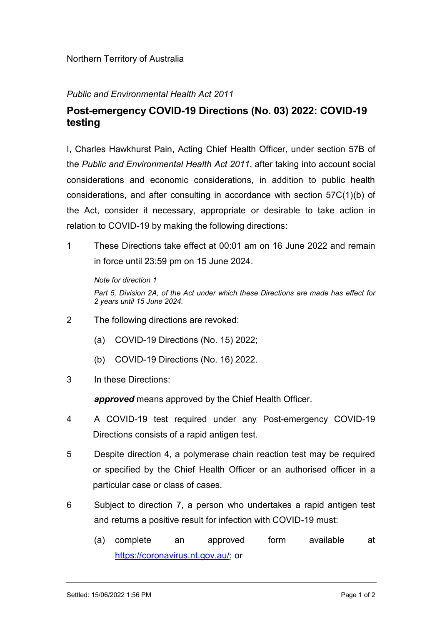## Public and Environmental Health Act 2011

## Post-emergency COVID-19 Directions (No. 03) 2022: COVID-19 testing

I, Charles Hawkhurst Pain, Acting Chief Health Officer, under section 57B of the Public and Environmental Health Act 2011, after taking into account social considerations and economic considerations, in addition to public health considerations, and after consulting in accordance with section 57C(1)(b) of the Act, consider it necessary, appropriate or desirable to take action in relation to COVID-19 by making the following directions:

1 These Directions take effect at 00:01 am on 16 June 2022 and remain in force until 23:59 pm on 15 June 2024.

Note for direction 1 Part 5, Division 2A, of the Act under which these Directions are made has effect for 2 years until 15 June 2024.

- 2 The following directions are revoked:
	- (a) COVID-19 Directions (No. 15) 2022;
	- (b) COVID-19 Directions (No. 16) 2022.
- 3 In these Directions:

approved means approved by the Chief Health Officer.

- 4 A COVID-19 test required under any Post-emergency COVID-19 Directions consists of a rapid antigen test.
- 5 Despite direction 4, a polymerase chain reaction test may be required or specified by the Chief Health Officer or an authorised officer in a particular case or class of cases.
- 6 Subject to direction 7, a person who undertakes a rapid antigen test and returns a positive result for infection with COVID-19 must:
	- (a) complete an approved form available at https://coronavirus.nt.gov.au/; or